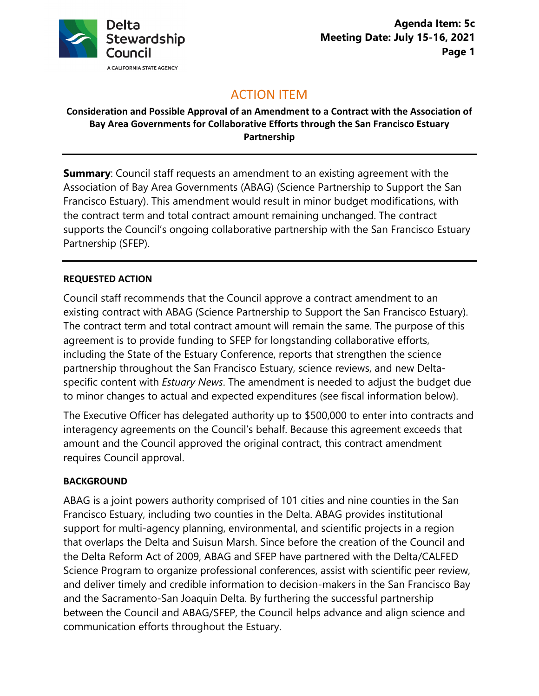

# ACTION ITEM

### **Consideration and Possible Approval of an Amendment to a Contract with the Association of Bay Area Governments for Collaborative Efforts through the San Francisco Estuary Partnership**

**Summary**: Council staff requests an amendment to an existing agreement with the Association of Bay Area Governments (ABAG) (Science Partnership to Support the San Francisco Estuary). This amendment would result in minor budget modifications, with the contract term and total contract amount remaining unchanged. The contract supports the Council's ongoing collaborative partnership with the San Francisco Estuary Partnership (SFEP).

### **REQUESTED ACTION**

Council staff recommends that the Council approve a contract amendment to an existing contract with ABAG (Science Partnership to Support the San Francisco Estuary). The contract term and total contract amount will remain the same. The purpose of this agreement is to provide funding to SFEP for longstanding collaborative efforts, including the State of the Estuary Conference, reports that strengthen the science partnership throughout the San Francisco Estuary, science reviews, and new Deltaspecific content with *Estuary News*. The amendment is needed to adjust the budget due to minor changes to actual and expected expenditures (see fiscal information below).

The Executive Officer has delegated authority up to \$500,000 to enter into contracts and interagency agreements on the Council's behalf. Because this agreement exceeds that amount and the Council approved the original contract, this contract amendment requires Council approval.

### **BACKGROUND**

ABAG is a joint powers authority comprised of 101 cities and nine counties in the San Francisco Estuary, including two counties in the Delta. ABAG provides institutional support for multi-agency planning, environmental, and scientific projects in a region that overlaps the Delta and Suisun Marsh. Since before the creation of the Council and the Delta Reform Act of 2009, ABAG and SFEP have partnered with the Delta/CALFED Science Program to organize professional conferences, assist with scientific peer review, and deliver timely and credible information to decision-makers in the San Francisco Bay and the Sacramento-San Joaquin Delta. By furthering the successful partnership between the Council and ABAG/SFEP, the Council helps advance and align science and communication efforts throughout the Estuary.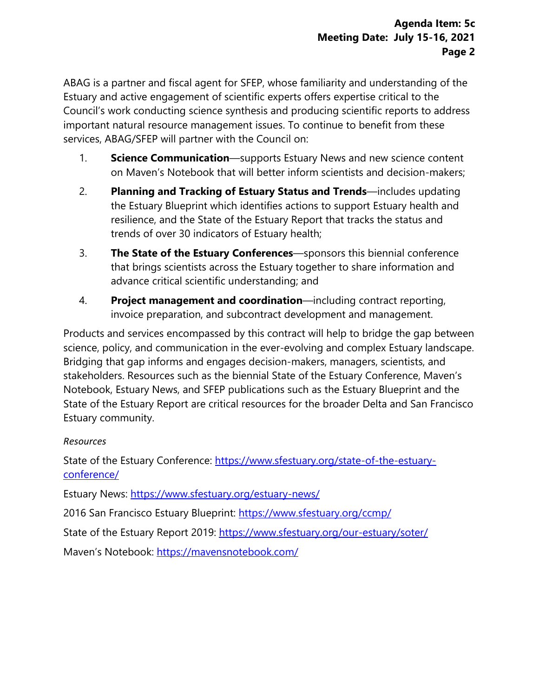ABAG is a partner and fiscal agent for SFEP, whose familiarity and understanding of the Estuary and active engagement of scientific experts offers expertise critical to the Council's work conducting science synthesis and producing scientific reports to address important natural resource management issues. To continue to benefit from these services, ABAG/SFEP will partner with the Council on:

- 1. **Science Communication**—supports Estuary News and new science content on Maven's Notebook that will better inform scientists and decision-makers;
- 2. **Planning and Tracking of Estuary Status and Trends**—includes updating the Estuary Blueprint which identifies actions to support Estuary health and resilience, and the State of the Estuary Report that tracks the status and trends of over 30 indicators of Estuary health;
- 3. **The State of the Estuary Conferences**—sponsors this biennial conference that brings scientists across the Estuary together to share information and advance critical scientific understanding; and
- 4. **Project management and coordination**—including contract reporting, invoice preparation, and subcontract development and management.

Products and services encompassed by this contract will help to bridge the gap between science, policy, and communication in the ever-evolving and complex Estuary landscape. Bridging that gap informs and engages decision-makers, managers, scientists, and stakeholders. Resources such as the biennial State of the Estuary Conference, Maven's Notebook, Estuary News, and SFEP publications such as the Estuary Blueprint and the State of the Estuary Report are critical resources for the broader Delta and San Francisco Estuary community.

## *Resources*

State of the Estuary Conference: [https://www.sfestuary.org/state-of-the-estuary](https://www.sfestuary.org/state-of-the-estuary-conference/)[conference/](https://www.sfestuary.org/state-of-the-estuary-conference/) 

Estuary News: https://www.sfestuary.org/estuary-news/

2016 San Francisco Estuary Blueprint: https://www.sfestuary.org/ccmp/

State of the Estuary Report 2019:<https://www.sfestuary.org/our-estuary/soter/>

Maven's Notebook:<https://mavensnotebook.com/>